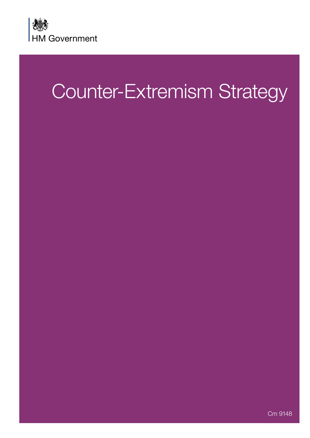

# Counter-Extremism Strategy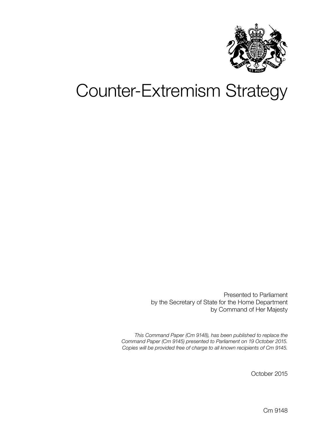

# Counter-Extremism Strategy

Presented to Parliament by the Secretary of State for the Home Department by Command of Her Majesty

*This Command Paper (Cm 9148), has been published to replace the Command Paper (Cm 9145) presented to Parliament on 19 October 2015. Copies will be provided free of charge to all known recipients of Cm 9145.*

October 2015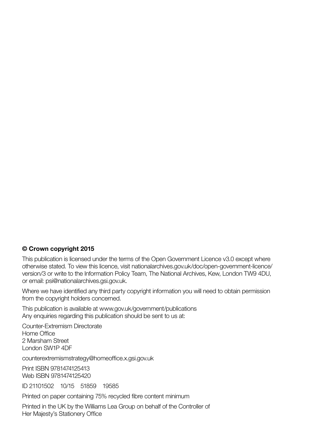#### © Crown copyright 2015

This publication is licensed under the terms of the Open Government Licence v3.0 except where otherwise stated. To view this licence, visit [nationalarchives.gov.uk/doc/open-government-licence/](www.nationalarchives.gov.uk/doc/open-government-licence/version/3) [version/3](www.nationalarchives.gov.uk/doc/open-government-licence/version/3) or write to the Information Policy Team, The National Archives, Kew, London TW9 4DU, or email: [psi@nationalarchives.gsi.gov.uk](mailto:psi%40nationalarchives.gsi.gov.uk?subject=).

Where we have identified any third party copyright information you will need to obtain permission from the copyright holders concerned.

This publication is available at<www.gov.uk/government/publications> Any enquiries regarding this publication should be sent to us at:

Counter-Extremism Directorate Home Office 2 Marsham Street London SW1P 4DF

[counterextremismstrategy@homeoffice.x.gsi.gov.uk](mailto:counterextremismstrategy%40homeoffice.x.gsi.gov.uk?subject=)

Print ISBN 9781474125413 Web ISBN 9781474125420

ID 21101502 10/15 51859 19585

Printed on paper containing 75% recycled fibre content minimum

Printed in the UK by the Williams Lea Group on behalf of the Controller of Her Majesty's Stationery Office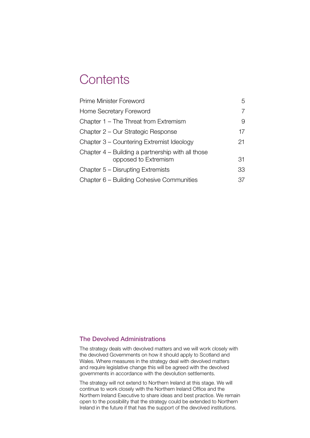## **Contents**

| <b>Prime Minister Foreword</b>                                            | 5. |
|---------------------------------------------------------------------------|----|
| Home Secretary Foreword                                                   |    |
| Chapter 1 – The Threat from Extremism                                     | 9  |
| Chapter 2 – Our Strategic Response                                        | 17 |
| Chapter 3 – Countering Extremist Ideology                                 | 21 |
| Chapter 4 – Building a partnership with all those<br>opposed to Extremism | 31 |
| Chapter 5 – Disrupting Extremists                                         | 33 |
| Chapter 6 – Building Cohesive Communities                                 | 37 |

#### The Devolved Administrations

The strategy deals with devolved matters and we will work closely with the devolved Governments on how it should apply to Scotland and Wales. Where measures in the strategy deal with devolved matters and require legislative change this will be agreed with the devolved governments in accordance with the devolution settlements.

The strategy will not extend to Northern Ireland at this stage. We will continue to work closely with the Northern Ireland Office and the Northern Ireland Executive to share ideas and best practice. We remain open to the possibility that the strategy could be extended to Northern Ireland in the future if that has the support of the devolved institutions.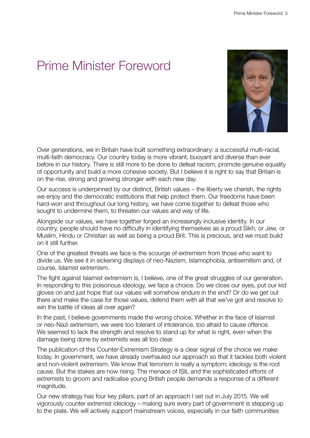## <span id="page-5-0"></span>Prime Minister Foreword



Over generations, we in Britain have built something extraordinary: a successful multi-racial, multi-faith democracy. Our country today is more vibrant, buoyant and diverse than ever before in our history. There is still more to be done to defeat racism, promote genuine equality of opportunity and build a more cohesive society. But I believe it is right to say that Britain is on the rise, strong and growing stronger with each new day.

Our success is underpinned by our distinct, British values – the liberty we cherish, the rights we enjoy and the democratic institutions that help protect them. Our freedoms have been hard-won and throughout our long history, we have come together to defeat those who sought to undermine them, to threaten our values and way of life.

Alongside our values, we have together forged an increasingly inclusive identity. In our country, people should have no difficulty in identifying themselves as a proud Sikh, or Jew, or Muslim, Hindu or Christian as well as being a proud Brit. This is precious, and we must build on it still further.

One of the greatest threats we face is the scourge of extremism from those who want to divide us. We see it in sickening displays of neo-Nazism, Islamophobia, antisemitism and, of course, Islamist extremism.

The fight against Islamist extremism is, I believe, one of the great struggles of our generation. In responding to this poisonous ideology, we face a choice. Do we close our eyes, put our kid gloves on and just hope that our values will somehow endure in the end? Or do we get out there and make the case for those values, defend them with all that we've got and resolve to win the battle of ideas all over again?

In the past, I believe governments made the wrong choice. Whether in the face of Islamist or neo-Nazi extremism, we were too tolerant of intolerance, too afraid to cause offence. We seemed to lack the strength and resolve to stand up for what is right, even when the damage being done by extremists was all too clear.

The publication of this Counter-Extremism Strategy is a clear signal of the choice we make today. In government, we have already overhauled our approach so that it tackles both violent and non-violent extremism. We know that terrorism is really a symptom; ideology is the root cause. But the stakes are now rising. The menace of ISIL and the sophisticated efforts of extremists to groom and radicalise young British people demands a response of a different magnitude.

Our new strategy has four key pillars, part of an approach I set out in July 2015. We will vigorously counter extremist ideology – making sure every part of government is stepping up to the plate. We will actively support mainstream voices, especially in our faith communities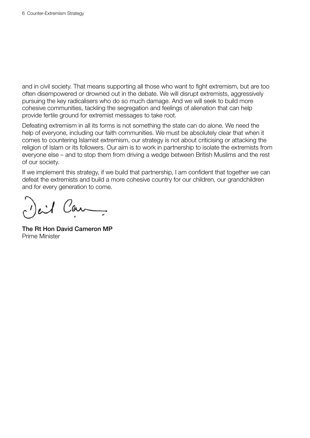and in civil society. That means supporting all those who want to fight extremism, but are too often disempowered or drowned out in the debate. We will disrupt extremists, aggressively pursuing the key radicalisers who do so much damage. And we will seek to build more cohesive communities, tackling the segregation and feelings of alienation that can help provide fertile ground for extremist messages to take root.

Defeating extremism in all its forms is not something the state can do alone. We need the help of everyone, including our faith communities. We must be absolutely clear that when it comes to countering Islamist extremism, our strategy is not about criticising or attacking the religion of Islam or its followers. Our aim is to work in partnership to isolate the extremists from everyone else – and to stop them from driving a wedge between British Muslims and the rest of our society.

If we implement this strategy, if we build that partnership, I am confident that together we can defeat the extremists and build a more cohesive country for our children, our grandchildren and for every generation to come.

ail Can

The Rt Hon David Cameron MP Prime Minister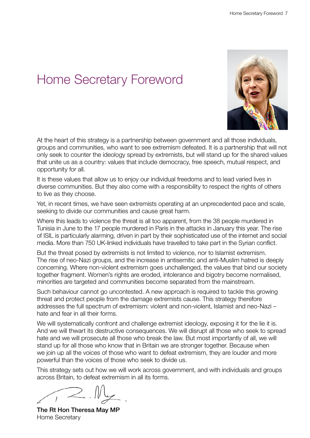## <span id="page-7-0"></span>Home Secretary Foreword



At the heart of this strategy is a partnership between government and all those individuals, groups and communities, who want to see extremism defeated. It is a partnership that will not only seek to counter the ideology spread by extremists, but will stand up for the shared values that unite us as a country: values that include democracy, free speech, mutual respect, and opportunity for all.

It is these values that allow us to enjoy our individual freedoms and to lead varied lives in diverse communities. But they also come with a responsibility to respect the rights of others to live as they choose.

Yet, in recent times, we have seen extremists operating at an unprecedented pace and scale, seeking to divide our communities and cause great harm.

Where this leads to violence the threat is all too apparent, from the 38 people murdered in Tunisia in June to the 17 people murdered in Paris in the attacks in January this year. The rise of ISIL is particularly alarming, driven in part by their sophisticated use of the internet and social media. More than 750 UK-linked individuals have travelled to take part in the Syrian conflict.

But the threat posed by extremists is not limited to violence, nor to Islamist extremism. The rise of neo-Nazi groups, and the increase in antisemitic and anti-Muslim hatred is deeply concerning. Where non-violent extremism goes unchallenged, the values that bind our society together fragment. Women's rights are eroded, intolerance and bigotry become normalised, minorities are targeted and communities become separated from the mainstream.

Such behaviour cannot go uncontested. A new approach is required to tackle this growing threat and protect people from the damage extremists cause. This strategy therefore addresses the full spectrum of extremism: violent and non-violent, Islamist and neo-Nazi – hate and fear in all their forms.

We will systematically confront and challenge extremist ideology, exposing it for the lie it is. And we will thwart its destructive consequences. We will disrupt all those who seek to spread hate and we will prosecute all those who break the law. But most importantly of all, we will stand up for all those who know that in Britain we are stronger together. Because when we join up all the voices of those who want to defeat extremism, they are louder and more powerful than the voices of those who seek to divide us.

This strategy sets out how we will work across government, and with individuals and groups across Britain, to defeat extremism in all its forms.

The Rt Hon Theresa May MP Home Secretary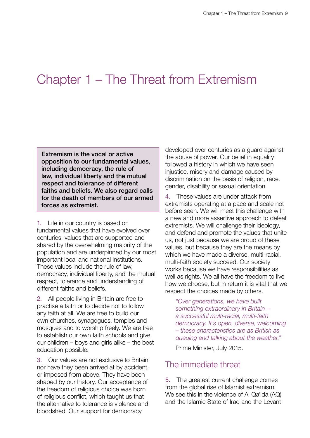## <span id="page-9-0"></span>Chapter 1 – The Threat from Extremism

Extremism is the vocal or active opposition to our fundamental values, including democracy, the rule of law, individual liberty and the mutual respect and tolerance of different faiths and beliefs. We also regard calls for the death of members of our armed forces as extremist.

1. Life in our country is based on fundamental values that have evolved over centuries, values that are supported and shared by the overwhelming majority of the population and are underpinned by our most important local and national institutions. These values include the rule of law, democracy, individual liberty, and the mutual respect, tolerance and understanding of different faiths and beliefs.

2. All people living in Britain are free to practise a faith or to decide not to follow any faith at all. We are free to build our own churches, synagogues, temples and mosques and to worship freely. We are free to establish our own faith schools and give our children – boys and girls alike – the best education possible.

3. Our values are not exclusive to Britain, nor have they been arrived at by accident, or imposed from above. They have been shaped by our history. Our acceptance of the freedom of religious choice was born of religious conflict, which taught us that the alternative to tolerance is violence and bloodshed. Our support for democracy

developed over centuries as a guard against the abuse of power. Our belief in equality followed a history in which we have seen injustice, misery and damage caused by discrimination on the basis of religion, race, gender, disability or sexual orientation.

4. These values are under attack from extremists operating at a pace and scale not before seen. We will meet this challenge with a new and more assertive approach to defeat extremists. We will challenge their ideology, and defend and promote the values that unite us, not just because we are proud of these values, but because they are the means by which we have made a diverse, multi-racial, multi-faith society succeed. Our society works because we have responsibilities as well as rights. We all have the freedom to live how we choose, but in return it is vital that we respect the choices made by others.

*"Over generations, we have built something extraordinary in Britain – a successful multi-racial, multi-faith democracy. It's open, diverse, welcoming – these characteristics are as British as queuing and talking about the weather."*

Prime Minister, July 2015.

### The immediate threat

5. The greatest current challenge comes from the global rise of Islamist extremism. We see this in the violence of Al Qa'ida (AQ) and the Islamic State of Iraq and the Levant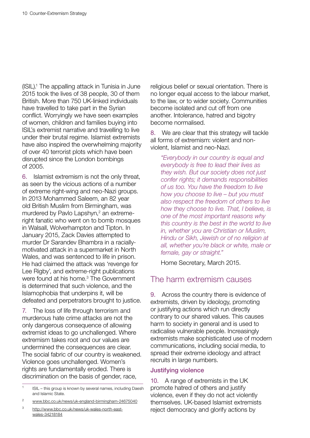(ISIL).<sup>1</sup> The appalling attack in Tunisia in June 2015 took the lives of 38 people, 30 of them British. More than 750 UK-linked individuals have travelled to take part in the Syrian conflict. Worryingly we have seen examples of women, children and families buying into ISIL's extremist narrative and travelling to live under their brutal regime. Islamist extremists have also inspired the overwhelming majority of over 40 terrorist plots which have been disrupted since the London bombings of 2005.

6. Islamist extremism is not the only threat, as seen by the vicious actions of a number of extreme right-wing and neo-Nazi groups. In 2013 Mohammed Saleem, an 82 year old British Muslim from Birmingham, was murdered by Pavlo Lapshyn,<sup>2</sup> an extremeright fanatic who went on to bomb mosques in Walsall, Wolverhampton and Tipton. In January 2015, Zack Davies attempted to murder Dr Sarandev Bhambra in a raciallymotivated attack in a supermarket in North Wales, and was sentenced to life in prison. He had claimed the attack was 'revenge for Lee Rigby', and extreme-right publications were found at his home.<sup>3</sup> The Government is determined that such violence, and the Islamophobia that underpins it, will be defeated and perpetrators brought to justice.

7. The loss of life through terrorism and murderous hate crime attacks are not the only dangerous consequence of allowing extremist ideas to go unchallenged. Where extremism takes root and our values are undermined the consequences are clear. The social fabric of our country is weakened. Violence goes unchallenged. Women's rights are fundamentally eroded. There is discrimination on the basis of gender, race,

religious belief or sexual orientation. There is no longer equal access to the labour market, to the law, or to wider society. Communities become isolated and cut off from one another. Intolerance, hatred and bigotry become normalised.

8. We are clear that this strategy will tackle all forms of extremism: violent and nonviolent, Islamist and neo-Nazi.

*"Everybody in our country is equal and everybody is free to lead their lives as they wish. But our society does not just confer rights; it demands responsibilities of us too. You have the freedom to live how you choose to live – but you must also respect the freedom of others to live how they choose to live. That, I believe, is one of the most important reasons why this country is the best in the world to live in, whether you are Christian or Muslim, Hindu or Sikh, Jewish or of no religion at all, whether you're black or white, male or female, gay or straight."*

Home Secretary, March 2015.

#### The harm extremism causes

9. Across the country there is evidence of extremists, driven by ideology, promoting or justifying actions which run directly contrary to our shared values. This causes harm to society in general and is used to radicalise vulnerable people. Increasingly extremists make sophisticated use of modern communications, including social media, to spread their extreme ideology and attract recruits in large numbers.

#### Justifying violence

10. A range of extremists in the UK promote hatred of others and justify violence, even if they do not act violently themselves. UK-based Islamist extremists reject democracy and glorify actions by

<sup>&</sup>lt;sup>1</sup> ISIL – this group is known by several names, including Daesh and Islamic State.

<sup>2</sup> <www.bbc.co.uk/news/uk-england-birmingham-24675040>

<sup>3</sup> [http://www.bbc.co.uk/news/uk-wales-north-east](http://www.bbc.co.uk/news/uk-wales-north-east-wales-34218184)[wales-34218184](http://www.bbc.co.uk/news/uk-wales-north-east-wales-34218184)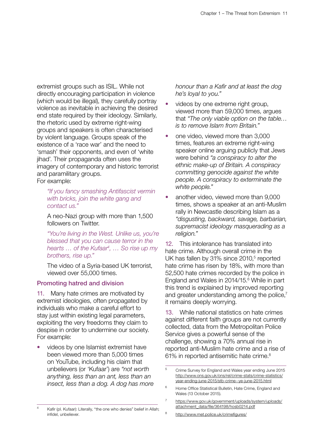extremist groups such as ISIL. While not directly encouraging participation in violence (which would be illegal), they carefully portray violence as inevitable in achieving the desired end state required by their ideology. Similarly, the rhetoric used by extreme right-wing groups and speakers is often characterised by violent language. Groups speak of the existence of a 'race war' and the need to 'smash' their opponents, and even of 'white jihad'. Their propaganda often uses the imagery of contemporary and historic terrorist and paramilitary groups. For example:

*"If you fancy smashing Antifascist vermin with bricks, join the white gang and contact us."* 

A neo-Nazi group with more than 1,500 followers on Twitter.

*"You're living in the West. Unlike us, you're blessed that you can cause terror in the hearts … of the Kufaar4 , … So rise up my brothers, rise up."* 

The video of a Syria-based UK terrorist, viewed over 55,000 times.

#### Promoting hatred and division

11. Many hate crimes are motivated by extremist ideologies, often propagated by individuals who make a careful effort to stay just within existing legal parameters, exploiting the very freedoms they claim to despise in order to undermine our society. For example:

• videos by one Islamist extremist have been viewed more than 5,000 times on YouTube, including his claim that unbelievers (or 'Kufaar') are *"not worth anything, less than an ant, less than an insect, less than a dog. A dog has more*  *honour than a Kafir and at least the dog he's loyal to you."*

- videos by one extreme right group, viewed more than 59,000 times, argues that *"The only viable option on the table… is to remove Islam from Britain."*
- one video, viewed more than 3,000 times, features an extreme right-wing speaker online arguing publicly that Jews were behind *"a conspiracy to alter the ethnic make-up of Britain. A conspiracy committing genocide against the white people. A conspiracy to exterminate the white people."*
- another video, viewed more than 9,000 times, shows a speaker at an anti-Muslim rally in Newcastle describing Islam as a *"disgusting, backward, savage, barbarian, supremacist ideology masquerading as a religion."*

12. This intolerance has translated into hate crime. Although overall crime in the UK has fallen by  $31\%$  since  $2010$ ,<sup>5</sup> reported hate crime has risen by 18%, with more than 52,500 hate crimes recorded by the police in England and Wales in 2014/15.<sup>6</sup> While in part this trend is explained by improved reporting and greater understanding among the police,<sup>7</sup> it remains deeply worrying.

13. While national statistics on hate crimes against different faith groups are not currently collected, data from the Metropolitan Police Service gives a powerful sense of the challenge, showing a 70% annual rise in reported anti-Muslim hate crime and a rise of 61% in reported antisemitic hate crime.<sup>8</sup>

<sup>5</sup> Crime Survey for England and Wales year ending June 2015 [http://www.ons.gov.uk/ons/rel/crime-stats/crime-statistics/](http://www.ons.gov.uk/ons/rel/crime-stats/crime-statistics/year-ending-june-2015/stb-crime--ye-june-2015.html) [year-ending-june-2015/stb-crime--ye-june-2015.html](http://www.ons.gov.uk/ons/rel/crime-stats/crime-statistics/year-ending-june-2015/stb-crime--ye-june-2015.html)

<sup>6</sup> Home Office Statistical Bulletin, Hate Crime, England and Wales (13 October 2015).

<sup>7</sup> [https://www.gov.uk/government/uploads/system/uploads/](https://www.gov.uk/government/uploads/system/uploads/attachment_data/file/364198/hosb0214.pdf) [attachment\\_data/file/364198/hosb0214.pdf](https://www.gov.uk/government/uploads/system/uploads/attachment_data/file/364198/hosb0214.pdf)

Kafir (pl. Kufaar): Literally, "the one who denies" belief in Allah; infidel, unbeliever.

<sup>8</sup> <http://www.met.police.uk/crimefigures/>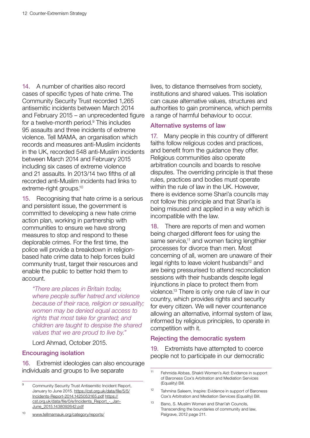14. A number of charities also record cases of specific types of hate crime. The Community Security Trust recorded 1,265 antisemitic incidents between March 2014 and February 2015 – an unprecedented figure for a twelve-month period.<sup>9</sup> This includes 95 assaults and three incidents of extreme violence. Tell MAMA, an organisation which records and measures anti-Muslim incidents in the UK, recorded 548 anti-Muslim incidents between March 2014 and February 2015 including six cases of extreme violence and 21 assaults. In 2013/14 two fifths of all recorded anti-Muslim incidents had links to extreme-right groups.10

15. Recognising that hate crime is a serious and persistent issue, the government is committed to developing a new hate crime action plan, working in partnership with communities to ensure we have strong measures to stop and respond to these deplorable crimes. For the first time, the police will provide a breakdown in religionbased hate crime data to help forces build community trust, target their resources and enable the public to better hold them to account.

*"There are places in Britain today, where people suffer hatred and violence because of their race, religion or sexuality; women may be denied equal access to rights that most take for granted; and children are taught to despise the shared values that we are proud to live by."* 

Lord Ahmad, October 2015.

#### Encouraging isolation

16. Extremist ideologies can also encourage individuals and groups to live separate

<sup>10</sup> [www.tellmamauk.org/category/reports/](http://www.tellmamauk.org/category/reports/)

lives, to distance themselves from society, institutions and shared values. This isolation can cause alternative values, structures and authorities to gain prominence, which permits a range of harmful behaviour to occur.

#### Alternative systems of law

17. Many people in this country of different faiths follow religious codes and practices, and benefit from the guidance they offer. Religious communities also operate arbitration councils and boards to resolve disputes. The overriding principle is that these rules, practices and bodies must operate within the rule of law in the UK. However, there is evidence some Shari'a councils may not follow this principle and that Shari'a is being misused and applied in a way which is incompatible with the law.

18. There are reports of men and women being charged different fees for using the same service,<sup>11</sup> and women facing lengthier processes for divorce than men. Most concerning of all, women are unaware of their legal rights to leave violent husbands<sup>12</sup> and are being pressurised to attend reconciliation sessions with their husbands despite legal injunctions in place to protect them from violence.13 There is only one rule of law in our country, which provides rights and security for every citizen. We will never countenance allowing an alternative, informal system of law, informed by religious principles, to operate in competition with it.

#### Rejecting the democratic system

19. Extremists have attempted to coerce people not to participate in our democratic

<sup>13</sup> Bano, S. Muslim Women and Shari'ah Councils, Transcending the boundaries of community and law, Palgrave, 2012 page 211.

<sup>9</sup> Community Security Trust Antisemitic Incident Report, January to June 2015. [https://cst.org.uk/data/file/5/5/](https://cst.org.uk/data/file/5/5/Incidents-Report-2014.1425053165.pdf) [Incidents-Report-2014.1425053165.pdf](https://cst.org.uk/data/file/5/5/Incidents-Report-2014.1425053165.pdf) [https://](https://cst.org.uk/data/file/0/e/Incidents_Report_-_Jan-June_2015.1438092642.pdf) cst.org.uk/data/file/0/e/Incidents\_Report - Jan-[June\\_2015.1438092642.pdf](https://cst.org.uk/data/file/0/e/Incidents_Report_-_Jan-June_2015.1438092642.pdf)

<sup>11</sup> Fehmida Abbas, Shakti Women's Aid: Evidence in support of Baroness Cox's Arbitration and Mediation Services (Equality) Bill.

<sup>&</sup>lt;sup>12</sup> Tahmina Saleem, Inspire: Evidence in support of Baroness Cox's Arbitration and Mediation Services (Equality) Bill.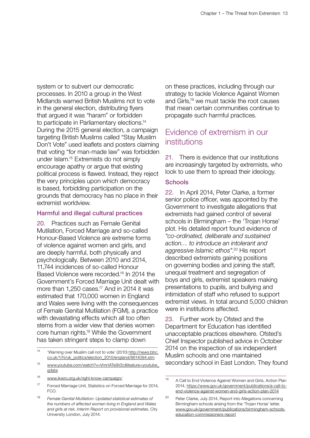system or to subvert our democratic processes. In 2010 a group in the West Midlands warned British Muslims not to vote in the general election, distributing flyers that argued it was "haram" or forbidden to participate in Parliamentary elections.<sup>14</sup> During the 2015 general election, a campaign targeting British Muslims called "Stay Muslim Don't Vote" used leaflets and posters claiming that voting "for man-made law" was forbidden under Islam.15 Extremists do not simply encourage apathy or argue that existing political process is flawed. Instead, they reject the very principles upon which democracy is based, forbidding participation on the grounds that democracy has no place in their extremist worldview.

#### Harmful and illegal cultural practices

20. Practices such as Female Genital Mutilation, Forced Marriage and so-called Honour-Based Violence are extreme forms of violence against women and girls, and are deeply harmful, both physically and psychologically. Between 2010 and 2014, 11,744 incidences of so-called Honour Based Violence were recorded.16 In 2014 the Government's Forced Marriage Unit dealt with more than 1,250 cases.<sup>17</sup> And in 2014 it was estimated that 170,000 women in England and Wales were living with the consequences of Female Genital Mutilation (FGM), a practice with devastating effects which all too often stems from a wider view that denies women core human rights.18 While the Government has taken stringent steps to clamp down

- <sup>15</sup> [www.youtube.com/watch?v=VmrtATe9V2c&feature=youtube\\_](http://www.youtube.com/watch?v=VmrtATe9V2c&feature=youtube_gdata) [gdata](http://www.youtube.com/watch?v=VmrtATe9V2c&feature=youtube_gdata)
- <sup>16</sup> <www.ikwro.org.uk/right-know-campaign/>

on these practices, including through our strategy to tackle Violence Against Women and Girls,19 we must tackle the root causes that mean certain communities continue to propagate such harmful practices.

## Evidence of extremism in our institutions

21. There is evidence that our institutions are increasingly targeted by extremists, who look to use them to spread their ideology.

#### **Schools**

22. In April 2014, Peter Clarke, a former senior police officer, was appointed by the Government to investigate allegations that extremists had gained control of several schools in Birmingham – the 'Trojan Horse' plot. His detailed report found evidence of *"co-ordinated, deliberate and sustained action… to introduce an intolerant and aggressive Islamic ethos"*. 20 His report described extremists gaining positions on governing bodies and joining the staff, unequal treatment and segregation of boys and girls, extremist speakers making presentations to pupils, and bullying and intimidation of staff who refused to support extremist views. In total around 5,000 children were in institutions affected.

23. Further work by Ofsted and the Department for Education has identified unacceptable practices elsewhere. Ofsted's Chief Inspector published advice in October 2014 on the inspection of six independent Muslim schools and one maintained secondary school in East London. They found

<sup>14</sup> 'Warning over Muslim call not to vote' (2010) [http://news.bbc.](http://news.bbc.co.uk/1/hi/uk_politics/election_2010/england/8614094.stm) [co.uk/1/hi/uk\\_politics/election\\_2010/england/8614094.stm](http://news.bbc.co.uk/1/hi/uk_politics/election_2010/england/8614094.stm)

<sup>&</sup>lt;sup>17</sup> Forced Marriage Unit, Statistics on Forced Marriage for 2014, FCO.

<sup>18</sup> *Female Genital Mutilation: Updated statistical estimates of the numbers of affected women living in England and Wales and girls at risk. Interim Report on provisional estimates*, City University London, July 2014.

<sup>&</sup>lt;sup>19</sup> A Call to End Violence Against Women and Girls, Action Plan 2014, [https://www.gov.uk/government/publications/a-call-to](https://www.gov.uk/government/publications/a-call-to-end-violence-against-women-and-girls-action-plan-2014)[end-violence-against-women-and-girls-action-plan-2014](https://www.gov.uk/government/publications/a-call-to-end-violence-against-women-and-girls-action-plan-2014)

<sup>&</sup>lt;sup>20</sup> Peter Clarke, July 2014, Report into Allegations concerning Birmingham schools arising from the 'Trojan Horse' letter. [www.gov.uk/government/publications/birmingham-schools](www.gov.uk/government/publications/birmingham-schools-education-commissioners-report)[education-commissioners-report](www.gov.uk/government/publications/birmingham-schools-education-commissioners-report)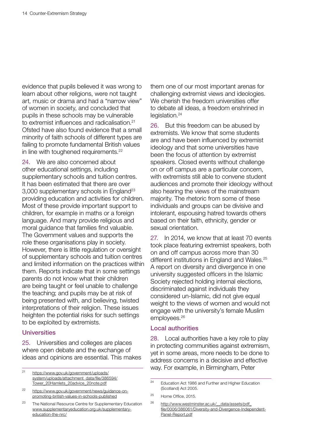evidence that pupils believed it was wrong to learn about other religions, were not taught art, music or drama and had a "narrow view" of women in society, and concluded that pupils in these schools may be vulnerable to extremist influences and radicalisation.<sup>21</sup> Ofsted have also found evidence that a small minority of faith schools of different types are failing to promote fundamental British values in line with toughened requirements.<sup>22</sup>

24. We are also concerned about other educational settings, including supplementary schools and tuition centres. It has been estimated that there are over 3,000 supplementary schools in England<sup>23</sup> providing education and activities for children. Most of these provide important support to children, for example in maths or a foreign language. And many provide religious and moral guidance that families find valuable. The Government values and supports the role these organisations play in society. However, there is little regulation or oversight of supplementary schools and tuition centres and limited information on the practices within them. Reports indicate that in some settings parents do not know what their children are being taught or feel unable to challenge the teaching; and pupils may be at risk of being presented with, and believing, twisted interpretations of their religion. These issues heighten the potential risks for such settings to be exploited by extremists.

#### **Universities**

25. Universities and colleges are places where open debate and the exchange of ideas and opinions are essential. This makes

<sup>21</sup> [https://www.gov.uk/government/uploads/](https://www.gov.uk/government/uploads/system/uploads/attachment_data/file/386594/Tower_20Hamlets_20advice_20note.pdf) [system/uploads/attachment\\_data/file/386594/](https://www.gov.uk/government/uploads/system/uploads/attachment_data/file/386594/Tower_20Hamlets_20advice_20note.pdf) [Tower\\_20Hamlets\\_20advice\\_20note.pdf](https://www.gov.uk/government/uploads/system/uploads/attachment_data/file/386594/Tower_20Hamlets_20advice_20note.pdf)

them one of our most important arenas for challenging extremist views and ideologies. We cherish the freedom universities offer to debate all ideas, a freedom enshrined in legislation.<sup>24</sup>

26. But this freedom can be abused by extremists. We know that some students are and have been influenced by extremist ideology and that some universities have been the focus of attention by extremist speakers. Closed events without challenge on or off campus are a particular concern, with extremists still able to convene student audiences and promote their ideology without also hearing the views of the mainstream majority. The rhetoric from some of these individuals and groups can be divisive and intolerant, espousing hatred towards others based on their faith, ethnicity, gender or sexual orientation.

27. In 2014, we know that at least 70 events took place featuring extremist speakers, both on and off campus across more than 30 different institutions in England and Wales.<sup>25</sup> A report on diversity and divergence in one university suggested officers in the Islamic Society rejected holding internal elections, discriminated against individuals they considered un-Islamic, did not give equal weight to the views of women and would not engage with the university's female Muslim employees.<sup>26</sup>

#### Local authorities

28. Local authorities have a key role to play in protecting communities against extremism, yet in some areas, more needs to be done to address concerns in a decisive and effective way. For example, in Birmingham, Peter

<sup>22</sup> [https://www.gov.uk/government/news/guidance-on](https://www.gov.uk/government/news/guidance-on-promoting-british-values-in-schools-published)[promoting-british-values-in-schools-published](https://www.gov.uk/government/news/guidance-on-promoting-british-values-in-schools-published)

<sup>23</sup> The National Resource Centre for Supplementary Education [www.supplementaryeducation.org.uk/supplementary](www.supplementaryeducation.org.uk/supplementary-education-the-nrc/)[education-the-nrc/](www.supplementaryeducation.org.uk/supplementary-education-the-nrc/)

<sup>&</sup>lt;sup>24</sup> Education Act 1986 and Further and Higher Education (Scotland) Act 2005.

<sup>25</sup> Home Office, 2015.

<sup>&</sup>lt;sup>26</sup> http://www.westminster.ac.uk/\_data/assets/pdf\_ [file/0006/386061/Diversity-and-Divergence-Independent-](http://www.westminster.ac.uk/__data/assets/pdf_file/0006/386061/Diversity-and-Divergence-Independent-Panel-Report.pdf)[Panel-Report.pdf](http://www.westminster.ac.uk/__data/assets/pdf_file/0006/386061/Diversity-and-Divergence-Independent-Panel-Report.pdf)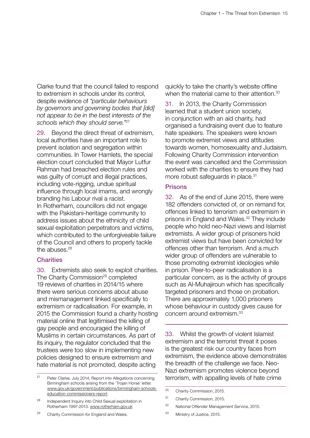Clarke found that the council failed to respond to extremism in schools under its control, despite evidence of *"particular behaviours by governors and governing bodies that [did] not appear to be in the best interests of the schools which they should serve."*<sup>27</sup>

29. Beyond the direct threat of extremism, local authorities have an important role to prevent isolation and segregation within communities. In Tower Hamlets, the special election court concluded that Mayor Lutfur Rahman had breached election rules and was guilty of corrupt and illegal practices, including vote-rigging, undue spiritual influence through local imams, and wrongly branding his Labour rival a racist. In Rotherham, councillors did not engage with the Pakistani-heritage community to address issues about the ethnicity of child sexual exploitation perpetrators and victims, which contributed to the unforgiveable failure of the Council and others to properly tackle the abuses  $^{28}$ 

#### **Charities**

30. Extremists also seek to exploit charities. The Charity Commission<sup>29</sup> completed 19 reviews of charities in 2014/15 where there were serious concerns about abuse and mismanagement linked specifically to extremism or radicalisation. For example, in 2015 the Commission found a charity hosting material online that legitimised the killing of gay people and encouraged the killing of Muslims in certain circumstances. As part of its inquiry, the regulator concluded that the trustees were too slow in implementing new policies designed to ensure extremism and hate material is not promoted, despite acting

quickly to take the charity's website offline when the material came to their attention.<sup>30</sup>

31. In 2013, the Charity Commission learned that a student union society, in conjunction with an aid charity, had organised a fundraising event due to feature hate speakers. The speakers were known to promote extremist views and attitudes towards women, homosexuality and Judaism. Following Charity Commission intervention the event was cancelled and the Commission worked with the charities to ensure they had more robust safeguards in place.<sup>31</sup>

#### Prisons

32. As of the end of June 2015, there were 182 offenders convicted of, or on remand for, offences linked to terrorism and extremism in prisons in England and Wales.<sup>32</sup> They include people who hold neo-Nazi views and Islamist extremists. A wider group of prisoners hold extremist views but have been convicted for offences other than terrorism. And a much wider group of offenders are vulnerable to those promoting extremist ideologies while in prison. Peer-to-peer radicalisation is a particular concern, as is the activity of groups such as Al-Muhajiroun which has specifically targeted prisoners and those on probation. There are approximately 1,000 prisoners whose behaviour in custody gives cause for concern around extremism.33

33. Whilst the growth of violent Islamist extremism and the terrorist threat it poses is the greatest risk our country faces from extremism, the evidence above demonstrates the breadth of the challenge we face. Neo-Nazi extremism promotes violence beyond terrorism, with appalling levels of hate crime

- <sup>32</sup> National Offender Management Service, 2015.
- <sup>33</sup> Ministry of Justice, 2015.

<sup>&</sup>lt;sup>27</sup> Peter Clarke, July 2014, Report into Allegations concerning Birmingham schools arising from the 'Trojan Horse' letter. [www.gov.uk/government/publications/birmingham-schools](www.gov.uk/government/publications/birmingham-schools-education-commissioners-report)[education-commissioners-report](www.gov.uk/government/publications/birmingham-schools-education-commissioners-report)

<sup>28</sup> Independent Inquiry into Child Sexual exploitation in Rotherham 1997-2013.<www.rotherham.gov.uk>

<sup>30</sup> Charity Commission, 2015.

<sup>31</sup> Charity Commission, 2015.

Charity Commission for England and Wales.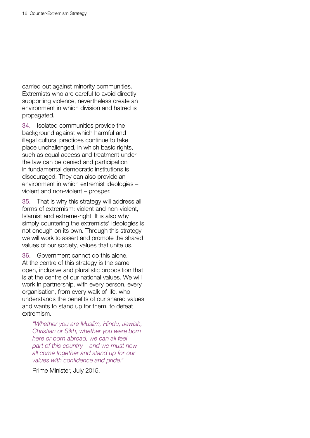carried out against minority communities. Extremists who are careful to avoid directly supporting violence, nevertheless create an environment in which division and hatred is propagated.

34. Isolated communities provide the background against which harmful and illegal cultural practices continue to take place unchallenged, in which basic rights, such as equal access and treatment under the law can be denied and participation in fundamental democratic institutions is discouraged. They can also provide an environment in which extremist ideologies – violent and non-violent – prosper.

35. That is why this strategy will address all forms of extremism: violent and non-violent, Islamist and extreme-right. It is also why simply countering the extremists' ideologies is not enough on its own. Through this strategy we will work to assert and promote the shared values of our society, values that unite us.

36. Government cannot do this alone. At the centre of this strategy is the same open, inclusive and pluralistic proposition that is at the centre of our national values. We will work in partnership, with every person, every organisation, from every walk of life, who understands the benefits of our shared values and wants to stand up for them, to defeat extremism.

*"Whether you are Muslim, Hindu, Jewish, Christian or Sikh, whether you were born here or born abroad, we can all feel part of this country – and we must now all come together and stand up for our values with confidence and pride."* 

Prime Minister, July 2015.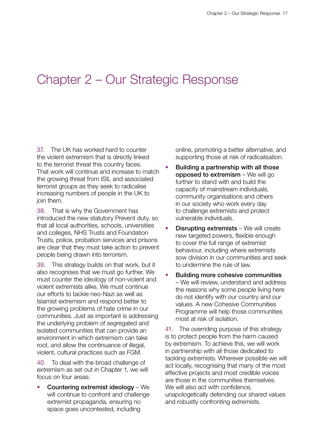## <span id="page-17-0"></span>Chapter 2 – Our Strategic Response

37. The UK has worked hard to counter the violent extremism that is directly linked to the terrorist threat this country faces. That work will continue and increase to match the growing threat from ISIL and associated terrorist groups as they seek to radicalise increasing numbers of people in the UK to join them.

38. That is why the Government has introduced the new statutory Prevent duty, so that all local authorities, schools, universities and colleges, NHS Trusts and Foundation Trusts, police, probation services and prisons are clear that they must take action to prevent people being drawn into terrorism.

39. This strategy builds on that work, but it also recognises that we must go further. We must counter the ideology of non-violent and violent extremists alike. We must continue our efforts to tackle neo-Nazi as well as Islamist extremism and respond better to the growing problems of hate crime in our communities. Just as important is addressing the underlying problem of segregated and isolated communities that can provide an environment in which extremism can take root, and allow the continuance of illegal, violent, cultural practices such as FGM.

40. To deal with the broad challenge of extremism as set out in Chapter 1, we will focus on four areas:

• Countering extremist ideology – We will continue to confront and challenge extremist propaganda, ensuring no space goes uncontested, including

online, promoting a better alternative, and supporting those at risk of radicalisation.

- Building a partnership with all those opposed to extremism – We will go further to stand with and build the capacity of mainstream individuals, community organisations and others in our society who work every day to challenge extremists and protect vulnerable individuals.
- **Disrupting extremists We will create** new targeted powers, flexible enough to cover the full range of extremist behaviour, including where extremists sow division in our communities and seek to undermine the rule of law.
- Building more cohesive communities – We will review, understand and address the reasons why some people living here do not identify with our country and our values. A new Cohesive Communities Programme will help those communities most at risk of isolation.

41. The overriding purpose of this strategy is to protect people from the harm caused by extremism. To achieve this, we will work in partnership with all those dedicated to tackling extremists. Wherever possible we will act locally, recognising that many of the most effective projects and most credible voices are those in the communities themselves. We will also act with confidence. unapologetically defending our shared values and robustly confronting extremists.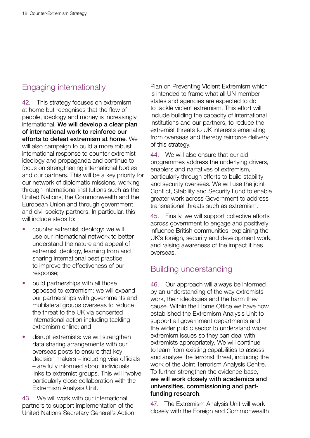## Engaging internationally

42. This strategy focuses on extremism at home but recognises that the flow of people, ideology and money is increasingly international. We will develop a clear plan of international work to reinforce our efforts to defeat extremism at home. We will also campaign to build a more robust international response to counter extremist ideology and propaganda and continue to focus on strengthening international bodies and our partners. This will be a key priority for our network of diplomatic missions, working through international institutions such as the United Nations, the Commonwealth and the European Union and through government and civil society partners. In particular, this will include steps to:

- counter extremist ideology: we will use our international network to better understand the nature and appeal of extremist ideology, learning from and sharing international best practice to improve the effectiveness of our response;
- build partnerships with all those opposed to extremism: we will expand our partnerships with governments and multilateral groups overseas to reduce the threat to the UK via concerted international action including tackling extremism online; and
- disrupt extremists: we will strengthen data sharing arrangements with our overseas posts to ensure that key decision makers – including visa officials – are fully informed about individuals' links to extremist groups. This will involve particularly close collaboration with the Extremism Analysis Unit.

43. We will work with our international partners to support implementation of the United Nations Secretary General's Action

Plan on Preventing Violent Extremism which is intended to frame what all UN member states and agencies are expected to do to tackle violent extremism. This effort will include building the capacity of international institutions and our partners, to reduce the extremist threats to UK interests emanating from overseas and thereby reinforce delivery of this strategy.

44. We will also ensure that our aid programmes address the underlying drivers, enablers and narratives of extremism, particularly through efforts to build stability and security overseas. We will use the joint Conflict, Stability and Security Fund to enable greater work across Government to address transnational threats such as extremism.

45. Finally, we will support collective efforts across government to engage and positively influence British communities, explaining the UK's foreign, security and development work, and raising awareness of the impact it has overseas.

## Building understanding

46. Our approach will always be informed by an understanding of the way extremists work, their ideologies and the harm they cause. Within the Home Office we have now established the Extremism Analysis Unit to support all government departments and the wider public sector to understand wider extremism issues so they can deal with extremists appropriately. We will continue to learn from existing capabilities to assess and analyse the terrorist threat, including the work of the Joint Terrorism Analysis Centre. To further strengthen the evidence base, we will work closely with academics and universities, commissioning and partfunding research.

47. The Extremism Analysis Unit will work closely with the Foreign and Commonwealth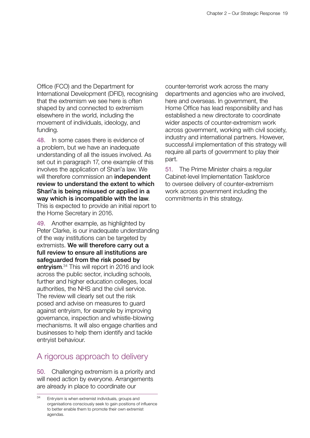Office (FCO) and the Department for International Development (DFID), recognising that the extremism we see here is often shaped by and connected to extremism elsewhere in the world, including the movement of individuals, ideology, and funding.

48. In some cases there is evidence of a problem, but we have an inadequate understanding of all the issues involved. As set out in paragraph 17, one example of this involves the application of Shari'a law. We will therefore commission an **independent** review to understand the extent to which Shari'a is being misused or applied in a way which is incompatible with the law. This is expected to provide an initial report to the Home Secretary in 2016.

49. Another example, as highlighted by Peter Clarke, is our inadequate understanding of the way institutions can be targeted by extremists. We will therefore carry out a full review to ensure all institutions are safeguarded from the risk posed by entryism.<sup>34</sup> This will report in 2016 and look across the public sector, including schools, further and higher education colleges, local authorities, the NHS and the civil service. The review will clearly set out the risk posed and advise on measures to guard against entryism, for example by improving governance, inspection and whistle-blowing mechanisms. It will also engage charities and businesses to help them identify and tackle entryist behaviour.

## A rigorous approach to delivery

50. Challenging extremism is a priority and will need action by everyone. Arrangements are already in place to coordinate our

counter-terrorist work across the many departments and agencies who are involved, here and overseas. In government, the Home Office has lead responsibility and has established a new directorate to coordinate wider aspects of counter-extremism work across government, working with civil society, industry and international partners. However, successful implementation of this strategy will require all parts of government to play their part.

51. The Prime Minister chairs a regular Cabinet-level Implementation Taskforce to oversee delivery of counter-extremism work across government including the commitments in this strategy.

<sup>&</sup>lt;sup>34</sup> Entryism is when extremist individuals, groups and organisations consciously seek to gain positions of influence to better enable them to promote their own extremist agendas.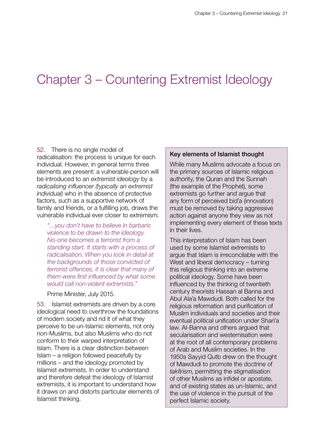## <span id="page-21-0"></span>Chapter 3 – Countering Extremist Ideology

52. There is no single model of radicalisation: the process is unique for each individual. However, in general terms three elements are present: a vulnerable person will be introduced to an *extremist ideology* by a *radicalising influencer (typically an extremist individual)* who in the absence of protective factors, such as a supportive network of family and friends, or a fulfilling job, draws the vulnerable individual ever closer to extremism.

*"…you don't have to believe in barbaric violence to be drawn to the ideology. No-one becomes a terrorist from a standing start. It starts with a process of radicalisation. When you look in detail at the backgrounds of those convicted of terrorist offences, it is clear that many of them were first influenced by what some would call non-violent extremists."* 

Prime Minister, July 2015.

53. Islamist extremists are driven by a core ideological need to overthrow the foundations of modern society and rid it of what they perceive to be un-Islamic elements, not only non-Muslims, but also Muslims who do not conform to their warped interpretation of Islam. There is a clear distinction between Islam – a religion followed peacefully by millions – and the ideology promoted by Islamist extremists. In order to understand and therefore defeat the ideology of Islamist extremists, it is important to understand how it draws on and distorts particular elements of Islamist thinking.

#### Key elements of Islamist thought

While many Muslims advocate a focus on the primary sources of Islamic religious authority, the Quran and the Sunnah (the example of the Prophet), some extremists go further and argue that any form of perceived bid'a (innovation) must be removed by taking aggressive action against anyone they view as not implementing every element of these texts in their lives.

This interpretation of Islam has been used by some Islamist extremists to argue that Islam is irreconcilable with the West and liberal democracy – turning this religious thinking into an extreme political ideology. Some have been influenced by the thinking of twentieth century theorists Hassan al Banna and Abul Ala'a Mawdudi. Both called for the religious reformation and purification of Muslim individuals and societies and their eventual political unification under Shari'a law. Al-Banna and others argued that secularisation and westernisation were at the root of all contemporary problems of Arab and Muslim societies. In the 1950s Sayyid Qutb drew on the thought of Mawdudi to promote the doctrine of *takfirism*, permitting the stigmatisation of other Muslims as infidel or apostate, and of existing states as un-Islamic, and the use of violence in the pursuit of the perfect Islamic society.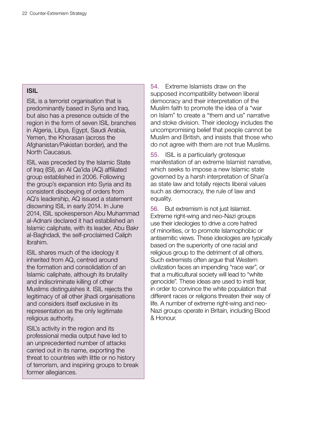#### ISIL

ISIL is a terrorist organisation that is predominantly based in Syria and Iraq, but also has a presence outside of the region in the form of seven ISIL branches in Algeria, Libya, Egypt, Saudi Arabia, Yemen, the Khorasan (across the Afghanistan/Pakistan border), and the North Caucasus.

ISIL was preceded by the Islamic State of Iraq (ISI), an Al Qa'ida (AQ) affiliated group established in 2006. Following the group's expansion into Syria and its consistent disobeying of orders from AQ's leadership, AQ issued a statement disowning ISIL in early 2014. In June 2014, ISIL spokesperson Abu Muhammad al-Adnani declared it had established an Islamic caliphate, with its leader, Abu Bakr al-Baghdadi, the self-proclaimed Caliph Ibrahim.

ISIL shares much of the ideology it inherited from AQ, centred around the formation and consolidation of an Islamic caliphate, although its brutality and indiscriminate killing of other Muslims distinguishes it. ISIL rejects the legitimacy of all other iihadi organisations and considers itself exclusive in its representation as the only legitimate religious authority.

ISIL's activity in the region and its professional media output have led to an unprecedented number of attacks carried out in its name, exporting the threat to countries with little or no history of terrorism, and inspiring groups to break former allegiances.

54. Extreme Islamists draw on the supposed incompatibility between liberal democracy and their interpretation of the Muslim faith to promote the idea of a "war on Islam" to create a "them and us" narrative and stoke division. Their ideology includes the uncompromising belief that people cannot be Muslim and British, and insists that those who do not agree with them are not true Muslims.

55. ISIL is a particularly grotesque manifestation of an extreme Islamist narrative, which seeks to impose a new Islamic state governed by a harsh interpretation of Shari'a as state law and totally rejects liberal values such as democracy, the rule of law and equality.

56. But extremism is not just Islamist. Extreme right-wing and neo-Nazi groups use their ideologies to drive a core hatred of minorities, or to promote Islamophobic or antisemitic views. These ideologies are typically based on the superiority of one racial and religious group to the detriment of all others. Such extremists often argue that Western civilization faces an impending "race war", or that a multicultural society will lead to "white genocide". These ideas are used to instil fear, in order to convince the white population that different races or religions threaten their way of life. A number of extreme right-wing and neo-Nazi groups operate in Britain, including Blood & Honour.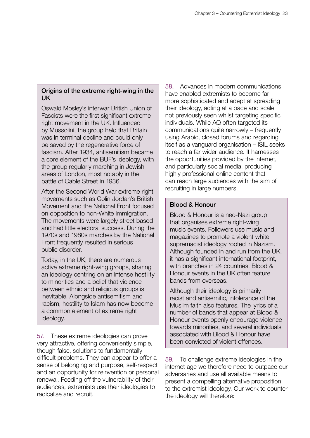#### Origins of the extreme right-wing in the UK

Oswald Mosley's interwar British Union of Fascists were the first significant extreme right movement in the UK. Influenced by Mussolini, the group held that Britain was in terminal decline and could only be saved by the regenerative force of fascism. After 1934, antisemitism became a core element of the BUF's ideology, with the group regularly marching in Jewish areas of London, most notably in the battle of Cable Street in 1936.

After the Second World War extreme right movements such as Colin Jordan's British Movement and the National Front focused on opposition to non-White immigration. The movements were largely street based and had little electoral success. During the 1970s and 1980s marches by the National Front frequently resulted in serious public disorder.

Today, in the UK, there are numerous active extreme right-wing groups, sharing an ideology centring on an intense hostility to minorities and a belief that violence between ethnic and religious groups is inevitable. Alongside antisemitism and racism, hostility to Islam has now become a common element of extreme right ideology.

57. These extreme ideologies can prove very attractive, offering conveniently simple, though false, solutions to fundamentally difficult problems. They can appear to offer a sense of belonging and purpose, self-respect and an opportunity for reinvention or personal renewal. Feeding off the vulnerability of their audiences, extremists use their ideologies to radicalise and recruit.

58. Advances in modern communications have enabled extremists to become far more sophisticated and adept at spreading their ideology, acting at a pace and scale not previously seen whilst targeting specific individuals. While AQ often targeted its communications quite narrowly – frequently using Arabic, closed forums and regarding itself as a vanguard organisation – ISIL seeks to reach a far wider audience. It harnesses the opportunities provided by the internet, and particularly social media, producing highly professional online content that can reach large audiences with the aim of recruiting in large numbers.

#### Blood & Honour

Blood & Honour is a neo-Nazi group that organises extreme right-wing music events. Followers use music and magazines to promote a violent white supremacist ideology rooted in Nazism. Although founded in and run from the UK, it has a significant international footprint, with branches in 24 countries. Blood & Honour events in the UK often feature bands from overseas.

Although their ideology is primarily racist and antisemitic, intolerance of the Muslim faith also features. The lyrics of a number of bands that appear at Blood & Honour events openly encourage violence towards minorities, and several individuals associated with Blood & Honour have been convicted of violent offences.

59. To challenge extreme ideologies in the internet age we therefore need to outpace our adversaries and use all available means to present a compelling alternative proposition to the extremist ideology. Our work to counter the ideology will therefore: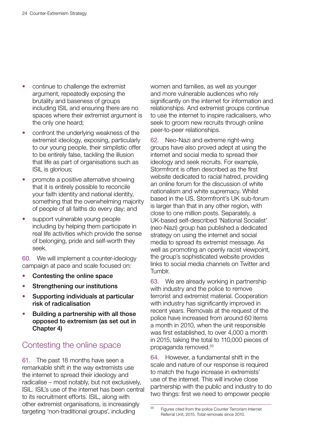- continue to challenge the extremist argument, repeatedly exposing the brutality and baseness of groups including ISIL and ensuring there are no spaces where their extremist argument is the only one heard;
- confront the underlying weakness of the extremist ideology, exposing, particularly to our young people, their simplistic offer to be entirely false, tackling the illusion that life as part of organisations such as ISIL is glorious;
- promote a positive alternative showing that it is entirely possible to reconcile your faith identity and national identity, something that the overwhelming majority of people of all faiths do every day; and
- support vulnerable young people including by helping them participate in real life activities which provide the sense of belonging, pride and self-worth they seek.

60. We will implement a counter-ideology campaign at pace and scale focused on:

- Contesting the online space
- Strengthening our institutions
- Supporting individuals at particular risk of radicalisation
- Building a partnership with all those opposed to extremism (as set out in Chapter 4)

## Contesting the online space

61. The past 18 months have seen a remarkable shift in the way extremists use the internet to spread their ideology and radicalise – most notably, but not exclusively, ISIL. ISIL's use of the internet has been central to its recruitment efforts. ISIL, along with other extremist organisations, is increasingly targeting 'non-traditional groups', including

women and families, as well as younger and more vulnerable audiences who rely significantly on the internet for information and relationships. And extremist groups continue to use the internet to inspire radicalisers, who seek to groom new recruits through online peer-to-peer relationships.

62. Neo-Nazi and extreme right-wing groups have also proved adept at using the internet and social media to spread their ideology and seek recruits. For example, Stormfront is often described as the first website dedicated to racial hatred, providing an online forum for the discussion of white nationalism and white supremacy. Whilst based in the US, Stormfront's UK sub-forum is larger than that in any other region, with close to one million posts. Separately, a UK-based self-described 'National Socialist' (neo-Nazi) group has published a dedicated strategy on using the internet and social media to spread its extremist message. As well as promoting an openly racist viewpoint, the group's sophisticated website provides links to social media channels on Twitter and **Tumblr** 

63. We are already working in partnership with industry and the police to remove terrorist and extremist material. Cooperation with industry has significantly improved in recent years. Removals at the request of the police have increased from around 60 items a month in 2010, when the unit responsible was first established, to over 4,000 a month in 2015, taking the total to 110,000 pieces of propaganda removed.35

64. However, a fundamental shift in the scale and nature of our response is required to match the huge increase in extremists' use of the internet. This will involve close partnership with the public and industry to do two things: first we need to empower people

<sup>&</sup>lt;sup>35</sup> Figures cited from the police Counter Terrorism Internet Referral Unit, 2015. Total removals since 2010.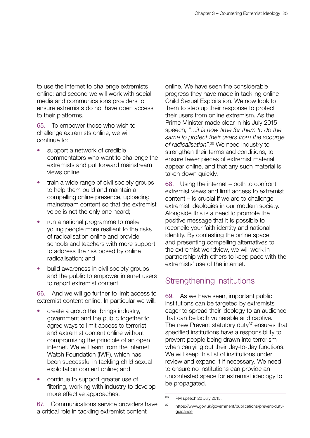to use the internet to challenge extremists online; and second we will work with social media and communications providers to ensure extremists do not have open access to their platforms.

65. To empower those who wish to challenge extremists online, we will continue to:

- support a network of credible commentators who want to challenge the extremists and put forward mainstream views online;
- train a wide range of civil society groups to help them build and maintain a compelling online presence, uploading mainstream content so that the extremist voice is not the only one heard;
- run a national programme to make young people more resilient to the risks of radicalisation online and provide schools and teachers with more support to address the risk posed by online radicalisation; and
- build awareness in civil society groups and the public to empower internet users to report extremist content.

66. And we will go further to limit access to extremist content online. In particular we will:

- create a group that brings industry, government and the public together to agree ways to limit access to terrorist and extremist content online without compromising the principle of an open internet. We will learn from the Internet Watch Foundation (IWF), which has been successful in tackling child sexual exploitation content online; and
- continue to support greater use of filtering, working with industry to develop more effective approaches.

67. Communications service providers have a critical role in tackling extremist content

online. We have seen the considerable progress they have made in tackling online Child Sexual Exploitation. We now look to them to step up their response to protect their users from online extremism. As the Prime Minister made clear in his July 2015 speech, *"…it is now time for them to do the same to protect their users from the scourge of radicalisation"*. 36 We need industry to strengthen their terms and conditions, to ensure fewer pieces of extremist material appear online, and that any such material is taken down quickly.

68. Using the internet – both to confront extremist views and limit access to extremist content – is crucial if we are to challenge extremist ideologies in our modern society. Alongside this is a need to promote the positive message that it is possible to reconcile your faith identity and national identity. By contesting the online space and presenting compelling alternatives to the extremist worldview, we will work in partnership with others to keep pace with the extremists' use of the internet.

## Strengthening institutions

69. As we have seen, important public institutions can be targeted by extremists eager to spread their ideology to an audience that can be both vulnerable and captive. The new Prevent statutory duty<sup>37</sup> ensures that specified institutions have a responsibility to prevent people being drawn into terrorism when carrying out their day-to-day functions. We will keep this list of institutions under review and expand it if necessary. We need to ensure no institutions can provide an uncontested space for extremist ideology to be propagated.

 $\overline{36}$  PM speech 20 July 2015.

<sup>37</sup> [https://www.gov.uk/government/publications/prevent-duty](https://www.gov.uk/government/publications/prevent-duty-guidance)[guidance](https://www.gov.uk/government/publications/prevent-duty-guidance)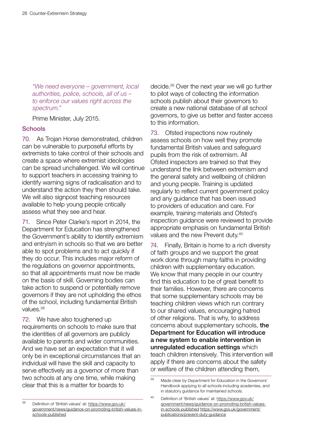*"We need everyone – government, local authorities, police, schools, all of us – to enforce our values right across the spectrum."* 

Prime Minister, July 2015.

#### **Schools**

70. As Trojan Horse demonstrated, children can be vulnerable to purposeful efforts by extremists to take control of their schools and create a space where extremist ideologies can be spread unchallenged. We will continue to support teachers in accessing training to identify warning signs of radicalisation and to understand the action they then should take. We will also signpost teaching resources available to help young people critically assess what they see and hear.

71. Since Peter Clarke's report in 2014, the Department for Education has strengthened the Government's ability to identify extremism and entryism in schools so that we are better able to spot problems and to act quickly if they do occur. This includes major reform of the regulations on governor appointments, so that all appointments must now be made on the basis of skill. Governing bodies can take action to suspend or potentially remove governors if they are not upholding the ethos of the school, including fundamental British values.38

72. We have also toughened up requirements on schools to make sure that the identities of all governors are publicly available to parents and wider communities. And we have set an expectation that it will only be in exceptional circumstances that an individual will have the skill and capacity to serve effectively as a governor of more than two schools at any one time, while making clear that this is a matter for boards to

decide.39 Over the next year we will go further to pilot ways of collecting the information schools publish about their governors to create a new national database of all school governors, to give us better and faster access to this information.

73. Ofsted inspections now routinely assess schools on how well they promote fundamental British values and safeguard pupils from the risk of extremism. All Ofsted inspectors are trained so that they understand the link between extremism and the general safety and wellbeing of children and young people. Training is updated regularly to reflect current government policy and any guidance that has been issued to providers of education and care. For example, training materials and Ofsted's inspection guidance were reviewed to provide appropriate emphasis on fundamental British values and the new Prevent duty.40

74. Finally, Britain is home to a rich diversity of faith groups and we support the great work done through many faiths in providing children with supplementary education. We know that many people in our country find this education to be of great benefit to their families. However, there are concerns that some supplementary schools may be teaching children views which run contrary to our shared values, encouraging hatred of other religions. That is why, to address concerns about supplementary schools, the Department for Education will introduce a new system to enable intervention in unregulated education settings which teach children intensively. This intervention will apply if there are concerns about the safety or welfare of the children attending them,

<sup>40</sup> Definition of 'British values' at: [https://www.gov.uk/](https://www.gov.uk/government/news/guidance-on-promoting-british-values-in-schools-published) [government/news/guidance-on-promoting-british-values](https://www.gov.uk/government/news/guidance-on-promoting-british-values-in-schools-published)[in-schools-published](https://www.gov.uk/government/news/guidance-on-promoting-british-values-in-schools-published) [https://www.gov.uk/government/](https://www.gov.uk/government/publications/prevent-duty-guidance) [publications/prevent-duty-guidance](https://www.gov.uk/government/publications/prevent-duty-guidance)

<sup>&</sup>lt;sup>39</sup> Made clear by Department for Education in the Governors' Handbook applying to all schools including academies, and in statutory guidance for maintained schools.

<sup>38</sup> Definition of 'British values' at: [https://www.gov.uk/](https://www.gov.uk/government/news/guidance-on-promoting-british-values-in-schools-published) [government/news/guidance-on-promoting-british-values-in](https://www.gov.uk/government/news/guidance-on-promoting-british-values-in-schools-published)[schools-published](https://www.gov.uk/government/news/guidance-on-promoting-british-values-in-schools-published)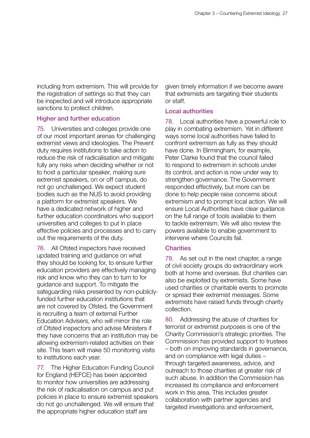including from extremism. This will provide for the registration of settings so that they can be inspected and will introduce appropriate sanctions to protect children.

#### Higher and further education

75. Universities and colleges provide one of our most important arenas for challenging extremist views and ideologies. The Prevent duty requires institutions to take action to reduce the risk of radicalisation and mitigate fully any risks when deciding whether or not to host a particular speaker, making sure extremist speakers, on or off campus, do not go unchallenged. We expect student bodies such as the NUS to avoid providing a platform for extremist speakers. We have a dedicated network of higher and further education coordinators who support universities and colleges to put in place effective policies and processes and to carry out the requirements of the duty.

76. All Ofsted inspectors have received updated training and guidance on what they should be looking for, to ensure further education providers are effectively managing risk and know who they can to turn to for guidance and support. To mitigate the safeguarding risks presented by non-publiclyfunded further education institutions that are not covered by Ofsted, the Government is recruiting a team of external Further Education Advisers, who will mirror the role of Ofsted inspectors and advise Ministers if they have concerns that an institution may be allowing extremism-related activities on their site. This team will make 50 monitoring visits to institutions each year.

77. The Higher Education Funding Council for England (HEFCE) has been appointed to monitor how universities are addressing the risk of radicalisation on campus and put policies in place to ensure extremist speakers do not go unchallenged. We will ensure that the appropriate higher education staff are

given timely information if we become aware that extremists are targeting their students or staff.

#### Local authorities

78. Local authorities have a powerful role to play in combating extremism. Yet in different ways some local authorities have failed to confront extremism as fully as they should have done. In Birmingham, for example, Peter Clarke found that the council failed to respond to extremism in schools under its control, and action is now under way to strengthen governance. The Government responded effectively, but more can be done to help people raise concerns about extremism and to prompt local action. We will ensure Local Authorities have clear guidance on the full range of tools available to them to tackle extremism. We will also review the powers available to enable government to intervene where Councils fail.

#### **Charities**

79. As set out in the next chapter, a range of civil society groups do extraordinary work both at home and overseas. But charities can also be exploited by extremists. Some have used charities or charitable events to promote or spread their extremist messages. Some extremists have raised funds through charity collection.

80. Addressing the abuse of charities for terrorist or extremist purposes is one of the Charity Commission's strategic priorities. The Commission has provided support to trustees – both on improving standards in governance, and on compliance with legal duties – through targeted awareness, advice, and outreach to those charities at greater risk of such abuse. In addition the Commission has increased its compliance and enforcement work in this area. This includes greater collaboration with partner agencies and targeted investigations and enforcement,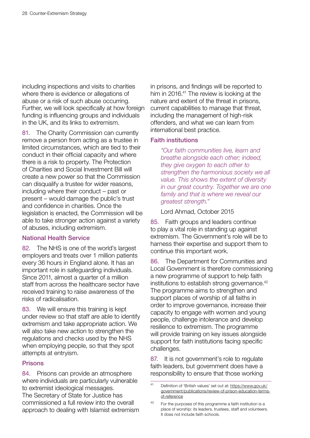including inspections and visits to charities where there is evidence or allegations of abuse or a risk of such abuse occurring. Further, we will look specifically at how foreign funding is influencing groups and individuals in the UK, and its links to extremism.

81. The Charity Commission can currently remove a person from acting as a trustee in limited circumstances, which are tied to their conduct in their official capacity and where there is a risk to property. The Protection of Charities and Social Investment Bill will create a new power so that the Commission can disqualify a trustee for wider reasons, including where their conduct – past or present – would damage the public's trust and confidence in charities. Once the legislation is enacted, the Commission will be able to take stronger action against a variety of abuses, including extremism.

#### National Health Service

82. The NHS is one of the world's largest employers and treats over 1 million patients every 36 hours in England alone. It has an important role in safeguarding individuals. Since 2011, almost a quarter of a million staff from across the healthcare sector have received training to raise awareness of the risks of radicalisation.

83. We will ensure this training is kept under review so that staff are able to identify extremism and take appropriate action. We will also take new action to strengthen the regulations and checks used by the NHS when employing people, so that they spot attempts at entryism.

#### Prisons

84. Prisons can provide an atmosphere where individuals are particularly vulnerable to extremist ideological messages. The Secretary of State for Justice has commissioned a full review into the overall approach to dealing with Islamist extremism

in prisons, and findings will be reported to him in 2016.<sup>41</sup> The review is looking at the nature and extent of the threat in prisons, current capabilities to manage that threat, including the management of high-risk offenders, and what we can learn from international best practice.

#### Faith institutions

*"Our faith communities live, learn and breathe alongside each other; indeed, they give oxygen to each other to strengthen the harmonious society we all value. This shows the extent of diversity in our great country. Together we are one family and that is where we reveal our greatest strength."*

Lord Ahmad, October 2015

85. Faith groups and leaders continue to play a vital role in standing up against extremism. The Government's role will be to harness their expertise and support them to continue this important work.

86. The Department for Communities and Local Government is therefore commissioning a new programme of support to help faith institutions to establish strong governance.<sup>42</sup> The programme aims to strengthen and support places of worship of all faiths in order to improve governance, increase their capacity to engage with women and young people, challenge intolerance and develop resilience to extremism. The programme will provide training on key issues alongside support for faith institutions facing specific challenges.

87. It is not government's role to regulate faith leaders, but government does have a responsibility to ensure that those working

<sup>41</sup> Definition of 'British values' set out at: [https://www.gov.uk/](https://www.gov.uk/government/publications/review-of-prison-education-terms-of-reference) [government/publications/review-of-prison-education-terms](https://www.gov.uk/government/publications/review-of-prison-education-terms-of-reference)[of-reference](https://www.gov.uk/government/publications/review-of-prison-education-terms-of-reference)

<sup>42</sup> For the purposes of this programme a faith institution is a place of worship: its leaders, trustees, staff and volunteers. It does not include faith schools.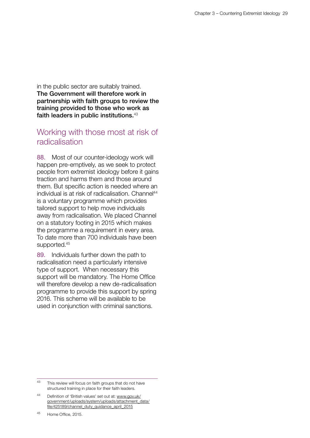in the public sector are suitably trained. The Government will therefore work in partnership with faith groups to review the training provided to those who work as faith leaders in public institutions.<sup>43</sup>

### Working with those most at risk of radicalisation

88. Most of our counter-ideology work will happen pre-emptively, as we seek to protect people from extremist ideology before it gains traction and harms them and those around them. But specific action is needed where an individual is at risk of radicalisation. Channel<sup>44</sup> is a voluntary programme which provides tailored support to help move individuals away from radicalisation. We placed Channel on a statutory footing in 2015 which makes the programme a requirement in every area. To date more than 700 individuals have been supported.<sup>45</sup>

89. Individuals further down the path to radicalisation need a particularly intensive type of support. When necessary this support will be mandatory. The Home Office will therefore develop a new de-radicalisation programme to provide this support by spring 2016. This scheme will be available to be used in conjunction with criminal sanctions.

<sup>43</sup> This review will focus on faith groups that do not have structured training in place for their faith leaders.

<sup>44</sup> Definition of 'British values' set out at: [www.gov.uk/](https://www.gov.uk/government/publications/channel-guidance) [government/uploads/system/uploads/attachment\\_data/](https://www.gov.uk/government/publications/channel-guidance) [file/425189/channel\\_duty\\_guidance\\_april\\_2015](https://www.gov.uk/government/publications/channel-guidance)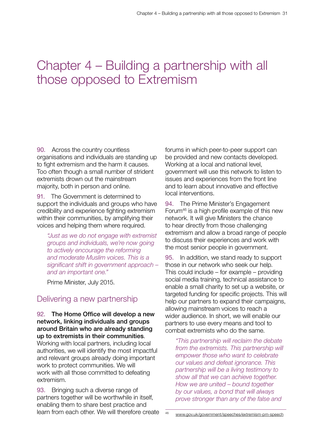## <span id="page-31-0"></span>Chapter 4 – Building a partnership with all those opposed to Extremism

90. Across the country countless organisations and individuals are standing up to fight extremism and the harm it causes. Too often though a small number of strident extremists drown out the mainstream majority, both in person and online.

91. The Government is determined to support the individuals and groups who have credibility and experience fighting extremism within their communities, by amplifying their voices and helping them where required.

*"Just as we do not engage with extremist groups and individuals, we're now going to actively encourage the reforming and moderate Muslim voices. This is a significant shift in government approach – and an important one."* 

Prime Minister, July 2015.

### Delivering a new partnership

92. The Home Office will develop a new network, linking individuals and groups around Britain who are already standing up to extremists in their communities. Working with local partners, including local authorities, we will identify the most impactful and relevant groups already doing important work to protect communities. We will work with all those committed to defeating extremism.

93. Bringing such a diverse range of partners together will be worthwhile in itself, enabling them to share best practice and learn from each other. We will therefore create forums in which peer-to-peer support can be provided and new contacts developed. Working at a local and national level, government will use this network to listen to issues and experiences from the front line and to learn about innovative and effective local interventions.

94. The Prime Minister's Engagement Forum46 is a high profile example of this new network. It will give Ministers the chance to hear directly from those challenging extremism and allow a broad range of people to discuss their experiences and work with the most senior people in government.

95. In addition, we stand ready to support those in our network who seek our help. This could include – for example – providing social media training, technical assistance to enable a small charity to set up a website, or targeted funding for specific projects. This will help our partners to expand their campaigns, allowing mainstream voices to reach a wider audience. In short, we will enable our partners to use every means and tool to combat extremists who do the same.

*"This partnership will reclaim the debate from the extremists. This partnership will empower those who want to celebrate our values and defeat ignorance. This partnership will be a living testimony to show all that we can achieve together. How we are united – bound together by our values, a bond that will always prove stronger than any of the false and* 

<sup>46</sup> <www.gov.uk/government/speeches/extremism-pm-speech>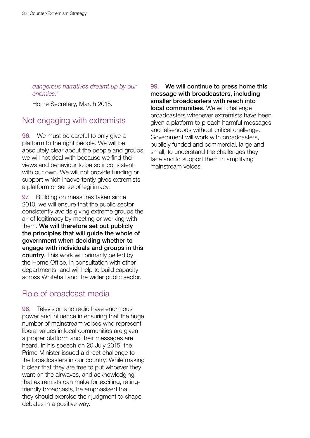*dangerous narratives dreamt up by our enemies."* 

Home Secretary, March 2015.

### Not engaging with extremists

96. We must be careful to only give a platform to the right people. We will be absolutely clear about the people and groups we will not deal with because we find their views and behaviour to be so inconsistent with our own. We will not provide funding or support which inadvertently gives extremists a platform or sense of legitimacy.

97. Building on measures taken since 2010, we will ensure that the public sector consistently avoids giving extreme groups the air of legitimacy by meeting or working with them. We will therefore set out publicly the principles that will guide the whole of government when deciding whether to engage with individuals and groups in this country. This work will primarily be led by the Home Office, in consultation with other departments, and will help to build capacity across Whitehall and the wider public sector.

#### Role of broadcast media

98. Television and radio have enormous power and influence in ensuring that the huge number of mainstream voices who represent liberal values in local communities are given a proper platform and their messages are heard. In his speech on 20 July 2015, the Prime Minister issued a direct challenge to the broadcasters in our country. While making it clear that they are free to put whoever they want on the airwaves, and acknowledging that extremists can make for exciting, ratingfriendly broadcasts, he emphasised that they should exercise their judgment to shape debates in a positive way.

99. We will continue to press home this message with broadcasters, including smaller broadcasters with reach into local communities. We will challenge broadcasters whenever extremists have been given a platform to preach harmful messages and falsehoods without critical challenge. Government will work with broadcasters, publicly funded and commercial, large and small, to understand the challenges they face and to support them in amplifying mainstream voices.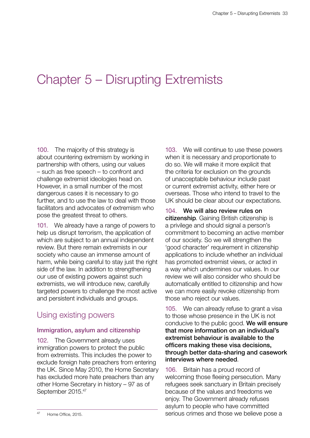## <span id="page-33-0"></span>Chapter 5 – Disrupting Extremists

100. The majority of this strategy is about countering extremism by working in partnership with others, using our values – such as free speech – to confront and challenge extremist ideologies head on. However, in a small number of the most dangerous cases it is necessary to go further, and to use the law to deal with those facilitators and advocates of extremism who pose the greatest threat to others.

101. We already have a range of powers to help us disrupt terrorism, the application of which are subject to an annual independent review. But there remain extremists in our society who cause an immense amount of harm, while being careful to stay just the right side of the law. In addition to strengthening our use of existing powers against such extremists, we will introduce new, carefully targeted powers to challenge the most active and persistent individuals and groups.

## Using existing powers

#### Immigration, asylum and citizenship

102. The Government already uses immigration powers to protect the public from extremists. This includes the power to exclude foreign hate preachers from entering the UK. Since May 2010, the Home Secretary has excluded more hate preachers than any other Home Secretary in history – 97 as of September 2015.47

103. We will continue to use these powers when it is necessary and proportionate to do so. We will make it more explicit that the criteria for exclusion on the grounds of unacceptable behaviour include past or current extremist activity, either here or overseas. Those who intend to travel to the UK should be clear about our expectations.

104. We will also review rules on citizenship. Gaining British citizenship is a privilege and should signal a person's commitment to becoming an active member of our society. So we will strengthen the 'good character' requirement in citizenship applications to include whether an individual has promoted extremist views, or acted in a way which undermines our values. In our review we will also consider who should be automatically entitled to citizenship and how we can more easily revoke citizenship from those who reject our values.

105. We can already refuse to grant a visa to those whose presence in the UK is not conducive to the public good. We will ensure that more information on an individual's extremist behaviour is available to the officers making these visa decisions, through better data-sharing and casework interviews where needed.

106. Britain has a proud record of welcoming those fleeing persecution. Many refugees seek sanctuary in Britain precisely because of the values and freedoms we enjoy. The Government already refuses asylum to people who have committed serious crimes and those we believe pose a

<sup>47</sup> Home Office, 2015.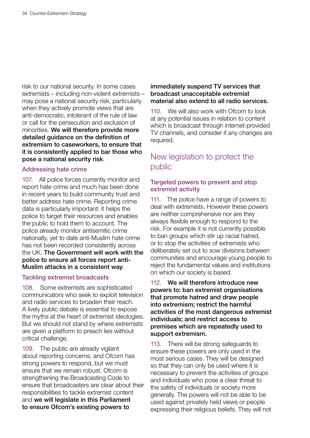risk to our national security. In some cases extremists – including non-violent extremists – may pose a national security risk, particularly when they actively promote views that are anti-democratic, intolerant of the rule of law or call for the persecution and exclusion of minorities. We will therefore provide more detailed guidance on the definition of extremism to caseworkers, to ensure that it is consistently applied to bar those who pose a national security risk.

#### Addressing hate crime

107. All police forces currently monitor and report hate crime and much has been done in recent years to build community trust and better address hate crime. Reporting crime data is particularly important: it helps the police to target their resources and enables the public to hold them to account. The police already monitor antisemitic crime nationally, yet to date anti-Muslim hate crime has not been recorded consistently across the UK. The Government will work with the police to ensure all forces report anti-Muslim attacks in a consistent way.

#### Tackling extremist broadcasts

108. Some extremists are sophisticated communicators who seek to exploit television and radio services to broaden their reach. A lively public debate is essential to expose the myths at the heart of extremist ideologies. But we should not stand by where extremists are given a platform to preach lies without critical challenge.

109. The public are already vigilant about reporting concerns, and Ofcom has strong powers to respond, but we must ensure that we remain robust. Ofcom is strengthening the Broadcasting Code to ensure that broadcasters are clear about their responsibilities to tackle extremist content and we will legislate in this Parliament to ensure Ofcom's existing powers to

#### immediately suspend TV services that broadcast unacceptable extremist material also extend to all radio services.

110. We will also work with Ofcom to look at any potential issues in relation to content which is broadcast through internet-provided TV channels, and consider if any changes are required.

## New legislation to protect the public

#### Targeted powers to prevent and stop extremist activity

111. The police have a range of powers to deal with extremists. However these powers are neither comprehensive nor are they always flexible enough to respond to the risk. For example it is not currently possible to ban groups which stir up racial hatred, or to stop the activities of extremists who deliberately set out to sow divisions between communities and encourage young people to reject the fundamental values and institutions on which our society is based.

#### 112. We will therefore introduce new powers to: ban extremist organisations that promote hatred and draw people into extremism; restrict the harmful activities of the most dangerous extremist individuals; and restrict access to premises which are repeatedly used to support extremism.

113. There will be strong safeguards to ensure these powers are only used in the most serious cases. They will be designed so that they can only be used where it is necessary to prevent the activities of groups and individuals who pose a clear threat to the safety of individuals or society more generally. The powers will not be able to be used against privately held views or people expressing their religious beliefs. They will not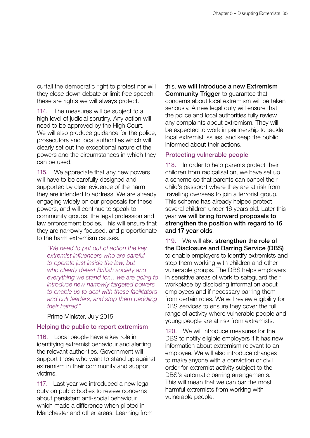curtail the democratic right to protest nor will they close down debate or limit free speech: these are rights we will always protect.

114. The measures will be subject to a high level of judicial scrutiny. Any action will need to be approved by the High Court. We will also produce guidance for the police, prosecutors and local authorities which will clearly set out the exceptional nature of the powers and the circumstances in which they can be used.

115. We appreciate that any new powers will have to be carefully designed and supported by clear evidence of the harm they are intended to address. We are already engaging widely on our proposals for these powers, and will continue to speak to community groups, the legal profession and law enforcement bodies. This will ensure that they are narrowly focused, and proportionate to the harm extremism causes.

*"We need to put out of action the key extremist influencers who are careful to operate just inside the law, but who clearly detest British society and everything we stand for… we are going to introduce new narrowly targeted powers to enable us to deal with these facilitators and cult leaders, and stop them peddling their hatred."* 

Prime Minister, July 2015.

#### Helping the public to report extremism

116. Local people have a key role in identifying extremist behaviour and alerting the relevant authorities. Government will support those who want to stand up against extremism in their community and support victims.

117. Last year we introduced a new legal duty on public bodies to review concerns about persistent anti-social behaviour, which made a difference when piloted in Manchester and other areas. Learning from this, we will introduce a new Extremism Community Trigger to guarantee that concerns about local extremism will be taken seriously. A new legal duty will ensure that the police and local authorities fully review any complaints about extremism. They will be expected to work in partnership to tackle local extremist issues, and keep the public informed about their actions.

#### Protecting vulnerable people

118. In order to help parents protect their children from radicalisation, we have set up a scheme so that parents can cancel their child's passport where they are at risk from travelling overseas to join a terrorist group. This scheme has already helped protect several children under 16 years old. Later this year we will bring forward proposals to strengthen the position with regard to 16 and 17 year olds.

119. We will also strengthen the role of the Disclosure and Barring Service (DBS) to enable employers to identify extremists and stop them working with children and other vulnerable groups. The DBS helps employers in sensitive areas of work to safeguard their workplace by disclosing information about employees and if necessary barring them from certain roles. We will review eligibility for DBS services to ensure they cover the full range of activity where vulnerable people and young people are at risk from extremists.

120. We will introduce measures for the DBS to notify eligible employers if it has new information about extremism relevant to an employee. We will also introduce changes to make anyone with a conviction or civil order for extremist activity subject to the DBS's automatic barring arrangements. This will mean that we can bar the most harmful extremists from working with vulnerable people.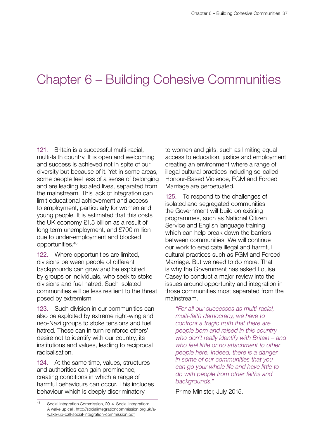## <span id="page-37-0"></span>Chapter 6 – Building Cohesive Communities

121. Britain is a successful multi-racial, multi-faith country. It is open and welcoming and success is achieved not in spite of our diversity but because of it. Yet in some areas, some people feel less of a sense of belonging and are leading isolated lives, separated from the mainstream. This lack of integration can limit educational achievement and access to employment, particularly for women and young people. It is estimated that this costs the UK economy £1.5 billion as a result of long term unemployment, and £700 million due to under-employment and blocked opportunities.48

122. Where opportunities are limited, divisions between people of different backgrounds can grow and be exploited by groups or individuals, who seek to stoke divisions and fuel hatred. Such isolated communities will be less resilient to the threat posed by extremism.

123. Such division in our communities can also be exploited by extreme right-wing and neo-Nazi groups to stoke tensions and fuel hatred. These can in turn reinforce others' desire not to identify with our country, its institutions and values, leading to reciprocal radicalisation.

124. At the same time, values, structures and authorities can gain prominence, creating conditions in which a range of harmful behaviours can occur. This includes behaviour which is deeply discriminatory

to women and girls, such as limiting equal access to education, justice and employment creating an environment where a range of illegal cultural practices including so-called Honour-Based Violence, FGM and Forced Marriage are perpetuated.

125. To respond to the challenges of isolated and segregated communities the Government will build on existing programmes, such as National Citizen Service and English language training which can help break down the barriers between communities. We will continue our work to eradicate illegal and harmful cultural practices such as FGM and Forced Marriage. But we need to do more. That is why the Government has asked Louise Casey to conduct a major review into the issues around opportunity and integration in those communities most separated from the mainstream.

*"For all our successes as multi-racial, multi-faith democracy, we have to confront a tragic truth that there are people born and raised in this country who don't really identify with Britain – and who feel little or no attachment to other people here. Indeed, there is a danger in some of our communities that you can go your whole life and have little to do with people from other faiths and backgrounds."* 

Prime Minister, July 2015.

<sup>48</sup> Social Integration Commission, 2014. Social Integration: A wake up call. [http://socialintegrationcommission.org.uk/a](http://socialintegrationcommission.org.uk/a-wake-up-call-social-integration-commission.pdf)[wake-up-call-social-integration-commission.pdf](http://socialintegrationcommission.org.uk/a-wake-up-call-social-integration-commission.pdf)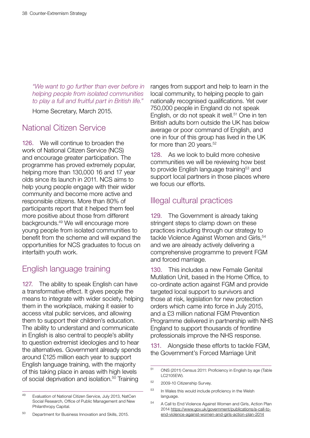*"We want to go further than ever before in helping people from isolated communities to play a full and fruitful part in British life."* 

Home Secretary, March 2015.

### National Citizen Service

126. We will continue to broaden the work of National Citizen Service (NCS) and encourage greater participation. The programme has proved extremely popular, helping more than 130,000 16 and 17 year olds since its launch in 2011. NCS aims to help young people engage with their wider community and become more active and responsible citizens. More than 80% of participants report that it helped them feel more positive about those from different backgrounds.49 We will encourage more young people from isolated communities to benefit from the scheme and will expand the opportunities for NCS graduates to focus on interfaith youth work.

### English language training

127. The ability to speak English can have a transformative effect. It gives people the means to integrate with wider society, helping them in the workplace, making it easier to access vital public services, and allowing them to support their children's education. The ability to understand and communicate in English is also central to people's ability to question extremist ideologies and to hear the alternatives. Government already spends around £125 million each year to support English language training, with the majority of this taking place in areas with high levels of social deprivation and isolation.<sup>50</sup> Training

ranges from support and help to learn in the local community, to helping people to gain nationally recognised qualifications. Yet over 750,000 people in England do not speak English, or do not speak it well.<sup>51</sup> One in ten British adults born outside the UK has below average or poor command of English, and one in four of this group has lived in the UK for more than 20 years.<sup>52</sup>

128. As we look to build more cohesive communities we will be reviewing how best to provide English language training<sup>53</sup> and support local partners in those places where we focus our efforts.

### Illegal cultural practices

129. The Government is already taking stringent steps to clamp down on these practices including through our strategy to tackle Violence Against Women and Girls, 54 and we are already actively delivering a comprehensive programme to prevent FGM and forced marriage.

130. This includes a new Female Genital Mutilation Unit, based in the Home Office, to co-ordinate action against FGM and provide targeted local support to survivors and those at risk, legislation for new protection orders which came into force in July 2015, and a £3 million national FGM Prevention Programme delivered in partnership with NHS England to support thousands of frontline professionals improve the NHS response.

131. Alongside these efforts to tackle FGM, the Government's Forced Marriage Unit

<sup>53</sup> In Wales this would include proficiency in the Welsh language.

<sup>51</sup> ONS (2011) Census 2011: Proficiency in English by age (Table LC2105EW).

<sup>52</sup> 2009-10 Citizenship Survey.

<sup>54</sup> A Call to End Violence Against Women and Girls, Action Plan 2014 [https://www.gov.uk/government/publications/a-call-to](https://www.gov.uk/government/publications/a-call-to-end-violence-against-women-and-girls-action-pla)[end-violence-against-women-and-girls-action-plan-2014](https://www.gov.uk/government/publications/a-call-to-end-violence-against-women-and-girls-action-pla)

<sup>49</sup> Evaluation of National Citizen Service, July 2013, NatCen Social Research, Office of Public Management and New Philanthropy Capital.

<sup>50</sup> Department for Business Innovation and Skills, 2015.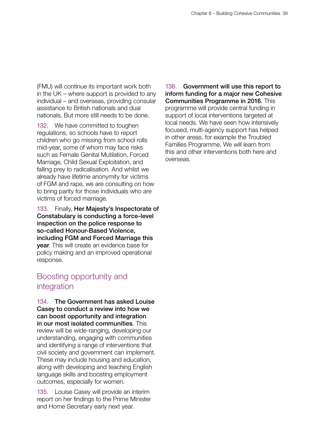(FMU) will continue its important work both in the UK – where support is provided to any individual – and overseas, providing consular assistance to British nationals and dual nationals. But more still needs to be done.

132. We have committed to toughen regulations, so schools have to report children who go missing from school rolls mid-year, some of whom may face risks such as Female Genital Mutilation, Forced Marriage, Child Sexual Exploitation, and falling prey to radicalisation. And whilst we already have lifetime anonymity for victims of FGM and rape, we are consulting on how to bring parity for those individuals who are victims of forced marriage.

133. Finally, Her Majesty's Inspectorate of Constabulary is conducting a force-level inspection on the police response to so-called Honour-Based Violence, including FGM and Forced Marriage this **year.** This will create an evidence base for policy making and an improved operational response.

## Boosting opportunity and integration

134. The Government has asked Louise Casey to conduct a review into how we can boost opportunity and integration in our most isolated communities. This review will be wide-ranging, developing our understanding, engaging with communities and identifying a range of interventions that civil society and government can implement. These may include housing and education, along with developing and teaching English language skills and boosting employment outcomes, especially for women.

135. Louise Casey will provide an interim report on her findings to the Prime Minister and Home Secretary early next year.

136. Government will use this report to inform funding for a major new Cohesive Communities Programme in 2016. This programme will provide central funding in support of local interventions targeted at local needs. We have seen how intensively focused, multi-agency support has helped in other areas, for example the Troubled Families Programme. We will learn from this and other interventions both here and overseas.